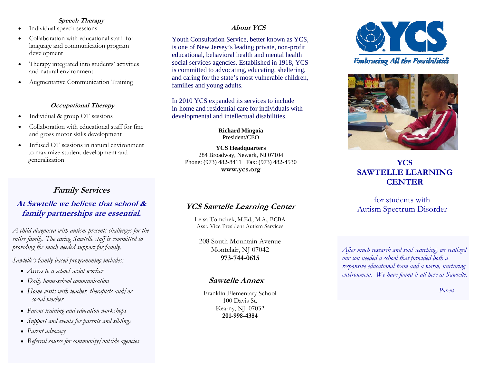#### **Speech Therapy**

- $\bullet$ Individual speech sessions
- $\bullet$  Collaboration with educational staff for language and communication program development
- $\bullet$  Therapy integrated into students' activities and natural environment
- $\bullet$ Augmentative Communication Training

#### **Occupational Therapy**

- $\bullet$ Individual & group OT sessions
- $\bullet$  Collaboration with educational staff for fine and gross motor skills development
- $\bullet$  Infused OT sessions in natural environment to maximize student development and generalization

# **Family Services**

## **At Sawtelle we believe that school & family partnerships are essential.**

*A child diagnosed with autism presents challenges for the entire family. The caring Sawtelle staff is committed to providing the much needed support for family.* 

*Sawtelle's family-based programming includes:* 

- *Access to a school social worker*
- *Daily home-school communication*
- *Home visits with teacher, therapists and/or social worker*
- *Parent training and education workshops*
- *Support and events for parents and siblings*
- *Parent advocacy*
- *Referral source for community/outside agencies*

#### **About YCS**

Youth Consultation Service, better known as YCS, is one of New Jersey's leading private, non-profit educational, behavioral health and mental health social services agencies. Established in 1918, YCS is committed to advocating, educating, sheltering, and caring for the state's most vulnerable children, families and young adults.

In 2010 YCS expanded its services to include in-home and residential care for individuals with developmental and intellectual disabilities.

> **Richard Mingoia**  President/CEO

**YCS Headquarters**  284 Broadway, Newark, NJ 07104 Phone: (973) 482-8411 Fax: (973) 482-4530 **www.ycs.org** 

# **YCS Sawtelle Learning Center**

Leisa Tomchek, M.Ed., M.A., BCBA Asst. Vice President Autism Services

208 South Mountain Avenue Montclair, NJ 07042 **973-744-0615** 

## **Sawtelle Annex**

Franklin Elementary School 100 Davis St. Kearny, NJ 07032 **201-998-4384** 





# **YCS SAWTELLE LEARNING CENTER**

## for students with Autism Spectrum Disorder

*After much research and soul searching, we realized our son needed a school that provided both a responsive educational team and a warm, nurturing environment. We have found it all here at Sawtelle.* 

*Parent*